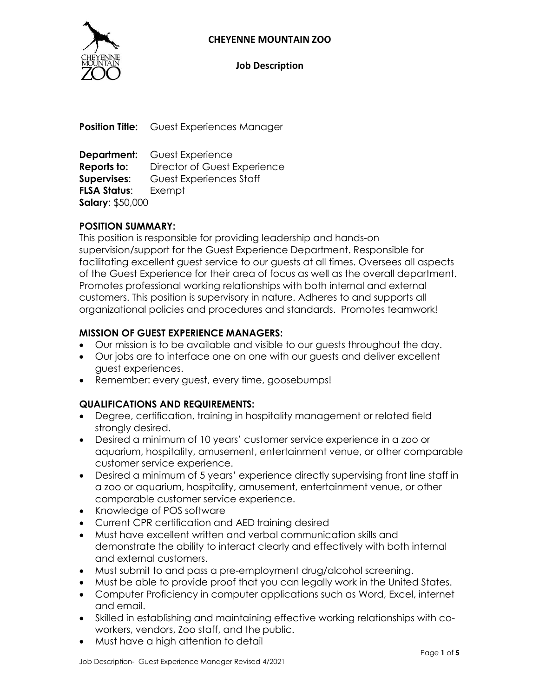

#### **Job Description**

**Position Title:** Guest Experiences Manager

**Department:** Guest Experience **Reports to:** Director of Guest Experience **Supervises**: Guest Experiences Staff **FLSA Status**: Exempt **Salary**: \$50,000

#### **POSITION SUMMARY:**

This position is responsible for providing leadership and hands-on supervision/support for the Guest Experience Department. Responsible for facilitating excellent guest service to our guests at all times. Oversees all aspects of the Guest Experience for their area of focus as well as the overall department. Promotes professional working relationships with both internal and external customers. This position is supervisory in nature. Adheres to and supports all organizational policies and procedures and standards. Promotes teamwork!

#### **MISSION OF GUEST EXPERIENCE MANAGERS:**

- Our mission is to be available and visible to our guests throughout the day.
- Our jobs are to interface one on one with our guests and deliver excellent guest experiences.
- Remember: every guest, every time, goosebumps!

#### **QUALIFICATIONS AND REQUIREMENTS:**

- Degree, certification, training in hospitality management or related field strongly desired.
- Desired a minimum of 10 years' customer service experience in a zoo or aquarium, hospitality, amusement, entertainment venue, or other comparable customer service experience.
- Desired a minimum of 5 years' experience directly supervising front line staff in a zoo or aquarium, hospitality, amusement, entertainment venue, or other comparable customer service experience.
- Knowledge of POS software
- Current CPR certification and AED training desired
- Must have excellent written and verbal communication skills and demonstrate the ability to interact clearly and effectively with both internal and external customers.
- Must submit to and pass a pre-employment drug/alcohol screening.
- Must be able to provide proof that you can legally work in the United States.
- Computer Proficiency in computer applications such as Word, Excel, internet and email.
- Skilled in establishing and maintaining effective working relationships with coworkers, vendors, Zoo staff, and the public.
- Must have a high attention to detail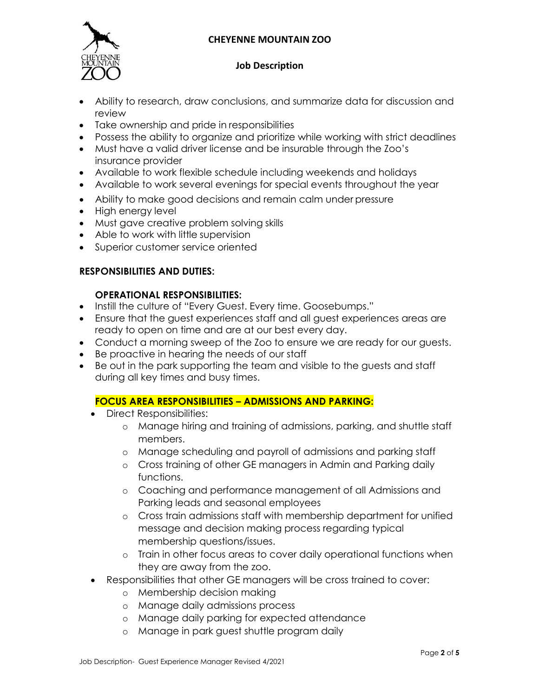

#### **Job Description**

- Ability to research, draw conclusions, and summarize data for discussion and review
- Take ownership and pride in responsibilities
- Possess the ability to organize and prioritize while working with strict deadlines
- Must have a valid driver license and be insurable through the Zoo's insurance provider
- Available to work flexible schedule including weekends and holidays
- Available to work several evenings for special events throughout the year
- Ability to make good decisions and remain calm under pressure
- High energy level
- Must gave creative problem solving skills
- Able to work with little supervision
- Superior customer service oriented

# **RESPONSIBILITIES AND DUTIES:**

# **OPERATIONAL RESPONSIBILITIES:**

- Instill the culture of "Every Guest. Every time. Goosebumps."
- Ensure that the guest experiences staff and all guest experiences areas are ready to open on time and are at our best every day.
- Conduct a morning sweep of the Zoo to ensure we are ready for our guests.
- Be proactive in hearing the needs of our staff
- Be out in the park supporting the team and visible to the guests and staff during all key times and busy times.

# **FOCUS AREA RESPONSIBILITIES – ADMISSIONS AND PARKING:**

- Direct Responsibilities:
	- o Manage hiring and training of admissions, parking, and shuttle staff members.
	- o Manage scheduling and payroll of admissions and parking staff
	- o Cross training of other GE managers in Admin and Parking daily functions.
	- o Coaching and performance management of all Admissions and Parking leads and seasonal employees
	- o Cross train admissions staff with membership department for unified message and decision making process regarding typical membership questions/issues.
	- o Train in other focus areas to cover daily operational functions when they are away from the zoo.
- Responsibilities that other GE managers will be cross trained to cover:
	- o Membership decision making
	- o Manage daily admissions process
	- o Manage daily parking for expected attendance
	- o Manage in park guest shuttle program daily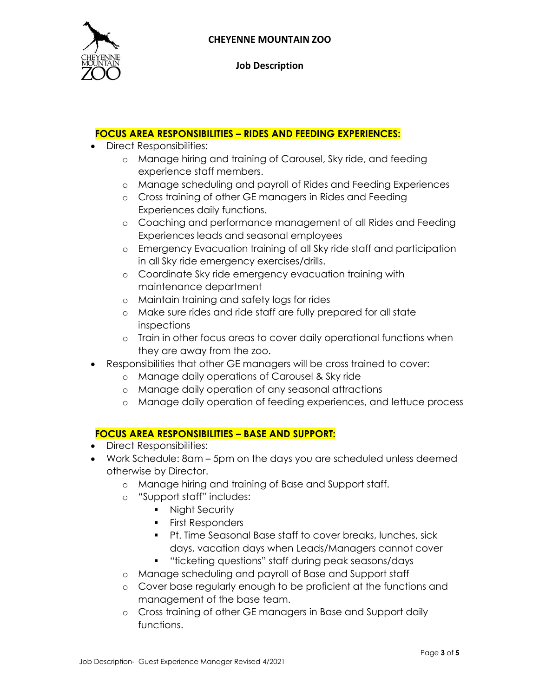

**Job Description**

### **FOCUS AREA RESPONSIBILITIES – RIDES AND FEEDING EXPERIENCES:**

- Direct Responsibilities:
	- o Manage hiring and training of Carousel, Sky ride, and feeding experience staff members.
	- o Manage scheduling and payroll of Rides and Feeding Experiences
	- o Cross training of other GE managers in Rides and Feeding Experiences daily functions.
	- o Coaching and performance management of all Rides and Feeding Experiences leads and seasonal employees
	- o Emergency Evacuation training of all Sky ride staff and participation in all Sky ride emergency exercises/drills.
	- o Coordinate Sky ride emergency evacuation training with maintenance department
	- o Maintain training and safety logs for rides
	- o Make sure rides and ride staff are fully prepared for all state inspections
	- o Train in other focus areas to cover daily operational functions when they are away from the zoo.
- Responsibilities that other GE managers will be cross trained to cover:
	- o Manage daily operations of Carousel & Sky ride
	- o Manage daily operation of any seasonal attractions
	- o Manage daily operation of feeding experiences, and lettuce process

# **FOCUS AREA RESPONSIBILITIES – BASE AND SUPPORT:**

- Direct Responsibilities:
- Work Schedule: 8am 5pm on the days you are scheduled unless deemed otherwise by Director.
	- o Manage hiring and training of Base and Support staff.
	- o "Support staff" includes:
		- **Night Security**
		- **First Responders**
		- Pt. Time Seasonal Base staff to cover breaks, lunches, sick days, vacation days when Leads/Managers cannot cover
		- **•** "ticketing questions" staff during peak seasons/days
	- o Manage scheduling and payroll of Base and Support staff
	- o Cover base regularly enough to be proficient at the functions and management of the base team.
	- o Cross training of other GE managers in Base and Support daily functions.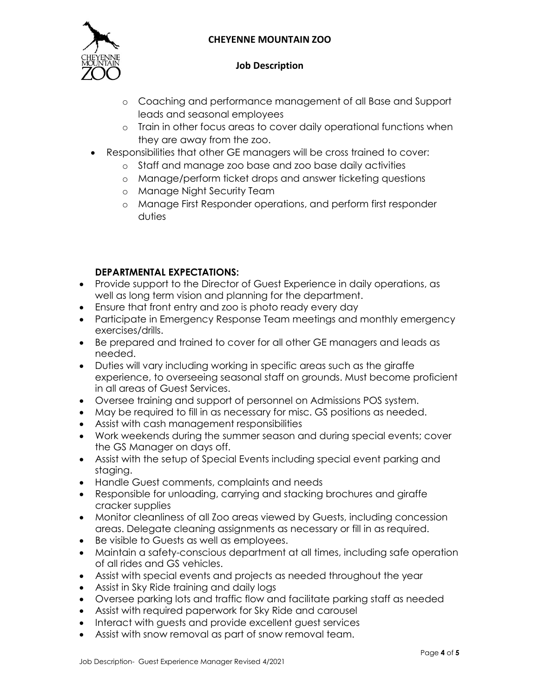

### **Job Description**

- o Coaching and performance management of all Base and Support leads and seasonal employees
- o Train in other focus areas to cover daily operational functions when they are away from the zoo.
- Responsibilities that other GE managers will be cross trained to cover:
	- o Staff and manage zoo base and zoo base daily activities
	- o Manage/perform ticket drops and answer ticketing questions
	- o Manage Night Security Team
	- o Manage First Responder operations, and perform first responder duties

# **DEPARTMENTAL EXPECTATIONS:**

- Provide support to the Director of Guest Experience in daily operations, as well as long term vision and planning for the department.
- Ensure that front entry and zoo is photo ready every day
- Participate in Emergency Response Team meetings and monthly emergency exercises/drills.
- Be prepared and trained to cover for all other GE managers and leads as needed.
- Duties will vary including working in specific areas such as the giraffe experience, to overseeing seasonal staff on grounds. Must become proficient in all areas of Guest Services.
- Oversee training and support of personnel on Admissions POS system.
- May be required to fill in as necessary for misc. GS positions as needed.
- Assist with cash management responsibilities
- Work weekends during the summer season and during special events; cover the GS Manager on days off.
- Assist with the setup of Special Events including special event parking and staging.
- Handle Guest comments, complaints and needs
- Responsible for unloading, carrying and stacking brochures and giraffe cracker supplies
- Monitor cleanliness of all Zoo areas viewed by Guests, including concession areas. Delegate cleaning assignments as necessary or fill in as required.
- Be visible to Guests as well as employees.
- Maintain a safety-conscious department at all times, including safe operation of all rides and GS vehicles.
- Assist with special events and projects as needed throughout the year
- Assist in Sky Ride training and daily logs
- Oversee parking lots and traffic flow and facilitate parking staff as needed
- Assist with required paperwork for Sky Ride and carousel
- Interact with guests and provide excellent guest services
- Assist with snow removal as part of snow removal team.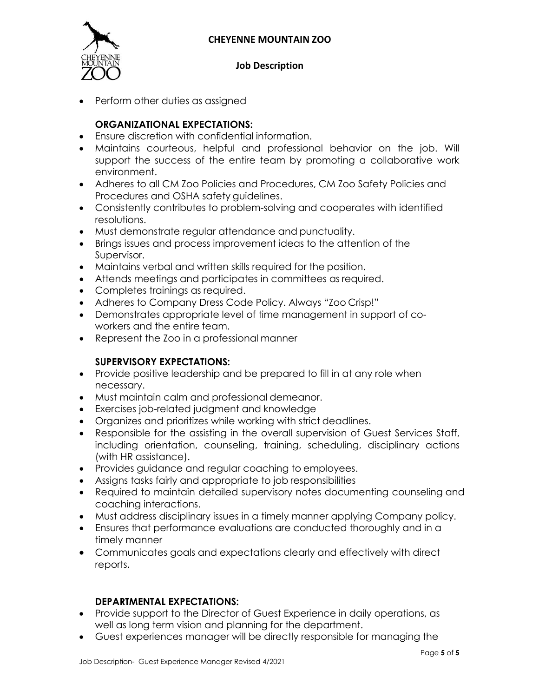

### **Job Description**

• Perform other duties as assigned

# **ORGANIZATIONAL EXPECTATIONS:**

- Ensure discretion with confidential information.
- Maintains courteous, helpful and professional behavior on the job. Will support the success of the entire team by promoting a collaborative work environment.
- Adheres to all CM Zoo Policies and Procedures, CM Zoo Safety Policies and Procedures and OSHA safety guidelines.
- Consistently contributes to problem-solving and cooperates with identified resolutions.
- Must demonstrate regular attendance and punctuality.
- Brings issues and process improvement ideas to the attention of the Supervisor.
- Maintains verbal and written skills required for the position.
- Attends meetings and participates in committees as required.
- Completes trainings as required.
- Adheres to Company Dress Code Policy. Always "Zoo Crisp!"
- Demonstrates appropriate level of time management in support of coworkers and the entire team.
- Represent the Zoo in a professional manner

# **SUPERVISORY EXPECTATIONS:**

- Provide positive leadership and be prepared to fill in at any role when necessary.
- Must maintain calm and professional demeanor.
- Exercises job-related judgment and knowledge
- Organizes and prioritizes while working with strict deadlines.
- Responsible for the assisting in the overall supervision of Guest Services Staff, including orientation, counseling, training, scheduling, disciplinary actions (with HR assistance).
- Provides guidance and regular coaching to employees.
- Assigns tasks fairly and appropriate to job responsibilities
- Required to maintain detailed supervisory notes documenting counseling and coaching interactions.
- Must address disciplinary issues in a timely manner applying Company policy.
- Ensures that performance evaluations are conducted thoroughly and in a timely manner
- Communicates goals and expectations clearly and effectively with direct reports.

#### **DEPARTMENTAL EXPECTATIONS:**

- Provide support to the Director of Guest Experience in daily operations, as well as long term vision and planning for the department.
- Guest experiences manager will be directly responsible for managing the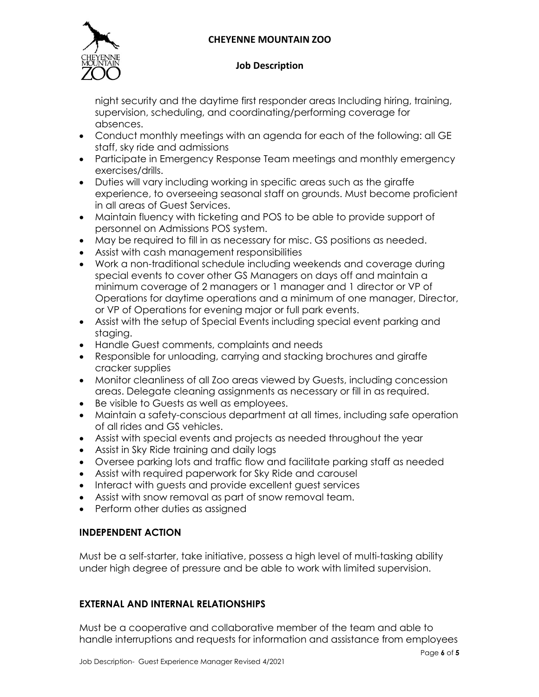

### **Job Description**

night security and the daytime first responder areas Including hiring, training, supervision, scheduling, and coordinating/performing coverage for absences.

- Conduct monthly meetings with an agenda for each of the following: all GE staff, sky ride and admissions
- Participate in Emergency Response Team meetings and monthly emergency exercises/drills.
- Duties will vary including working in specific areas such as the giraffe experience, to overseeing seasonal staff on grounds. Must become proficient in all areas of Guest Services.
- Maintain fluency with ticketing and POS to be able to provide support of personnel on Admissions POS system.
- May be required to fill in as necessary for misc. GS positions as needed.
- Assist with cash management responsibilities
- Work a non-traditional schedule including weekends and coverage during special events to cover other GS Managers on days off and maintain a minimum coverage of 2 managers or 1 manager and 1 director or VP of Operations for daytime operations and a minimum of one manager, Director, or VP of Operations for evening major or full park events.
- Assist with the setup of Special Events including special event parking and staging.
- Handle Guest comments, complaints and needs
- Responsible for unloading, carrying and stacking brochures and giraffe cracker supplies
- Monitor cleanliness of all Zoo areas viewed by Guests, including concession areas. Delegate cleaning assignments as necessary or fill in as required.
- Be visible to Guests as well as employees.
- Maintain a safety-conscious department at all times, including safe operation of all rides and GS vehicles.
- Assist with special events and projects as needed throughout the year
- Assist in Sky Ride training and daily logs
- Oversee parking lots and traffic flow and facilitate parking staff as needed
- Assist with required paperwork for Sky Ride and carousel
- Interact with guests and provide excellent guest services
- Assist with snow removal as part of snow removal team.
- Perform other duties as assigned

# **INDEPENDENT ACTION**

Must be a self-starter, take initiative, possess a high level of multi-tasking ability under high degree of pressure and be able to work with limited supervision.

# **EXTERNAL AND INTERNAL RELATIONSHIPS**

Must be a cooperative and collaborative member of the team and able to handle interruptions and requests for information and assistance from employees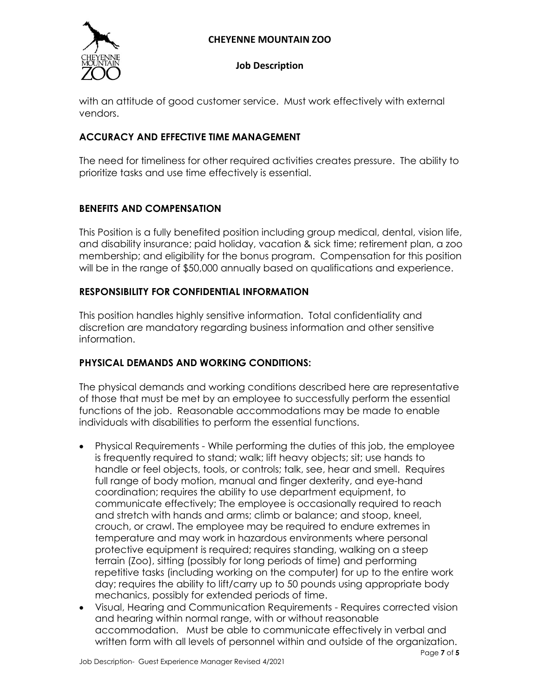

#### **Job Description**

with an attitude of good customer service. Must work effectively with external vendors.

# **ACCURACY AND EFFECTIVE TIME MANAGEMENT**

The need for timeliness for other required activities creates pressure. The ability to prioritize tasks and use time effectively is essential.

# **BENEFITS AND COMPENSATION**

This Position is a fully benefited position including group medical, dental, vision life, and disability insurance; paid holiday, vacation & sick time; retirement plan, a zoo membership; and eligibility for the bonus program. Compensation for this position will be in the range of \$50,000 annually based on qualifications and experience.

### **RESPONSIBILITY FOR CONFIDENTIAL INFORMATION**

This position handles highly sensitive information. Total confidentiality and discretion are mandatory regarding business information and other sensitive information.

# **PHYSICAL DEMANDS AND WORKING CONDITIONS:**

The physical demands and working conditions described here are representative of those that must be met by an employee to successfully perform the essential functions of the job. Reasonable accommodations may be made to enable individuals with disabilities to perform the essential functions.

- Physical Requirements While performing the duties of this job, the employee is frequently required to stand; walk; lift heavy objects; sit; use hands to handle or feel objects, tools, or controls; talk, see, hear and smell. Requires full range of body motion, manual and finger dexterity, and eye-hand coordination; requires the ability to use department equipment, to communicate effectively; The employee is occasionally required to reach and stretch with hands and arms; climb or balance; and stoop, kneel, crouch, or crawl. The employee may be required to endure extremes in temperature and may work in hazardous environments where personal protective equipment is required; requires standing, walking on a steep terrain (Zoo), sitting (possibly for long periods of time) and performing repetitive tasks (including working on the computer) for up to the entire work day; requires the ability to lift/carry up to 50 pounds using appropriate body mechanics, possibly for extended periods of time.
- Visual, Hearing and Communication Requirements Requires corrected vision and hearing within normal range, with or without reasonable accommodation. Must be able to communicate effectively in verbal and written form with all levels of personnel within and outside of the organization.